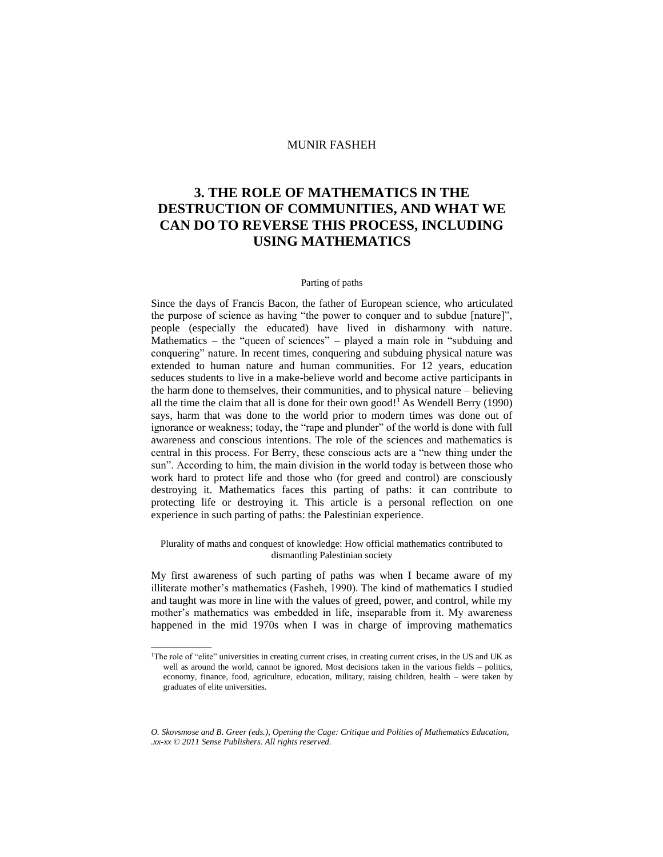# MUNIR FASHEH

# **3. THE ROLE OF MATHEMATICS IN THE DESTRUCTION OF COMMUNITIES, AND WHAT WE CAN DO TO REVERSE THIS PROCESS, INCLUDING USING MATHEMATICS**

### Parting of paths

Since the days of Francis Bacon, the father of European science, who articulated the purpose of science as having "the power to conquer and to subdue [nature]", people (especially the educated) have lived in disharmony with nature. Mathematics – the "queen of sciences" – played a main role in "subduing and conquering" nature. In recent times, conquering and subduing physical nature was extended to human nature and human communities. For 12 years, education seduces students to live in a make-believe world and become active participants in the harm done to themselves, their communities, and to physical nature – believing all the time the claim that all is done for their own good!<sup>1</sup> As Wendell Berry (1990) says, harm that was done to the world prior to modern times was done out of ignorance or weakness; today, the "rape and plunder" of the world is done with full awareness and conscious intentions. The role of the sciences and mathematics is central in this process. For Berry, these conscious acts are a "new thing under the sun". According to him, the main division in the world today is between those who work hard to protect life and those who (for greed and control) are consciously destroying it. Mathematics faces this parting of paths: it can contribute to protecting life or destroying it. This article is a personal reflection on one experience in such parting of paths: the Palestinian experience.

Plurality of maths and conquest of knowledge: How official mathematics contributed to dismantling Palestinian society

My first awareness of such parting of paths was when I became aware of my illiterate mother's mathematics (Fasheh, 1990). The kind of mathematics I studied and taught was more in line with the values of greed, power, and control, while my mother's mathematics was embedded in life, inseparable from it. My awareness happened in the mid 1970s when I was in charge of improving mathematics

<sup>1</sup>The role of "elite" universities in creating current crises, in creating current crises, in the US and UK as well as around the world, cannot be ignored. Most decisions taken in the various fields – politics, economy, finance, food, agriculture, education, military, raising children, health – were taken by graduates of elite universities.

*O. Skovsmose and B. Greer (eds.), Opening the Cage: Critique and Polities of Mathematics Education, .xx-xx © 2011 Sense Publishers. All rights reserved.*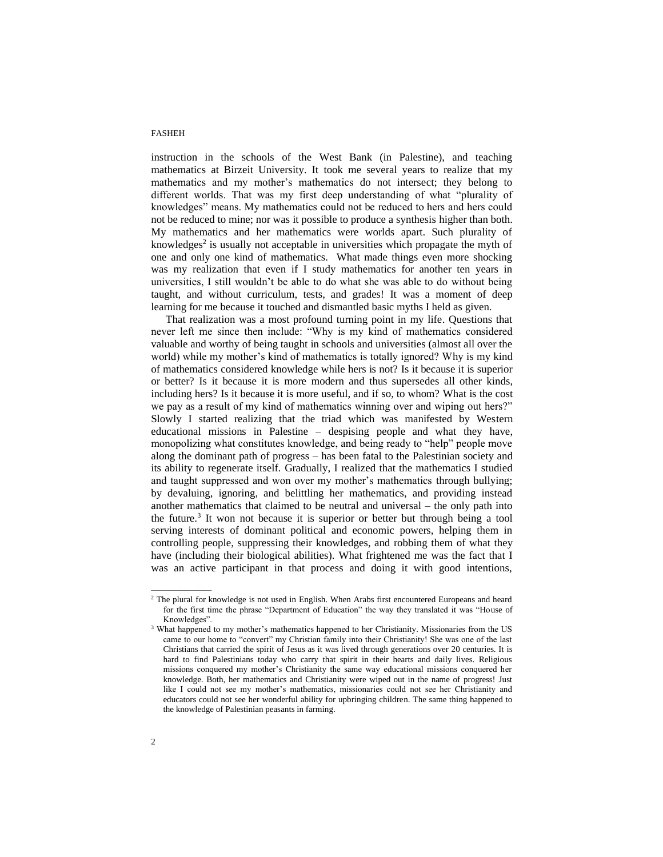instruction in the schools of the West Bank (in Palestine), and teaching mathematics at Birzeit University. It took me several years to realize that my mathematics and my mother's mathematics do not intersect; they belong to different worlds. That was my first deep understanding of what "plurality of knowledges" means. My mathematics could not be reduced to hers and hers could not be reduced to mine; nor was it possible to produce a synthesis higher than both. My mathematics and her mathematics were worlds apart. Such plurality of knowledges<sup>2</sup> is usually not acceptable in universities which propagate the myth of one and only one kind of mathematics. What made things even more shocking was my realization that even if I study mathematics for another ten years in universities, I still wouldn't be able to do what she was able to do without being taught, and without curriculum, tests, and grades! It was a moment of deep learning for me because it touched and dismantled basic myths I held as given.

That realization was a most profound turning point in my life. Questions that never left me since then include: "Why is my kind of mathematics considered valuable and worthy of being taught in schools and universities (almost all over the world) while my mother's kind of mathematics is totally ignored? Why is my kind of mathematics considered knowledge while hers is not? Is it because it is superior or better? Is it because it is more modern and thus supersedes all other kinds, including hers? Is it because it is more useful, and if so, to whom? What is the cost we pay as a result of my kind of mathematics winning over and wiping out hers?" Slowly I started realizing that the triad which was manifested by Western educational missions in Palestine – despising people and what they have, monopolizing what constitutes knowledge, and being ready to "help" people move along the dominant path of progress – has been fatal to the Palestinian society and its ability to regenerate itself. Gradually, I realized that the mathematics I studied and taught suppressed and won over my mother's mathematics through bullying; by devaluing, ignoring, and belittling her mathematics, and providing instead another mathematics that claimed to be neutral and universal – the only path into the future.<sup>3</sup> It won not because it is superior or better but through being a tool serving interests of dominant political and economic powers, helping them in controlling people, suppressing their knowledges, and robbing them of what they have (including their biological abilities). What frightened me was the fact that I was an active participant in that process and doing it with good intentions,

<sup>&</sup>lt;sup>2</sup> The plural for knowledge is not used in English. When Arabs first encountered Europeans and heard for the first time the phrase "Department of Education" the way they translated it was "House of Knowledges".

<sup>&</sup>lt;sup>3</sup> What happened to my mother's mathematics happened to her Christianity. Missionaries from the US came to our home to "convert" my Christian family into their Christianity! She was one of the last Christians that carried the spirit of Jesus as it was lived through generations over 20 centuries. It is hard to find Palestinians today who carry that spirit in their hearts and daily lives. Religious missions conquered my mother's Christianity the same way educational missions conquered her knowledge. Both, her mathematics and Christianity were wiped out in the name of progress! Just like I could not see my mother's mathematics, missionaries could not see her Christianity and educators could not see her wonderful ability for upbringing children. The same thing happened to the knowledge of Palestinian peasants in farming.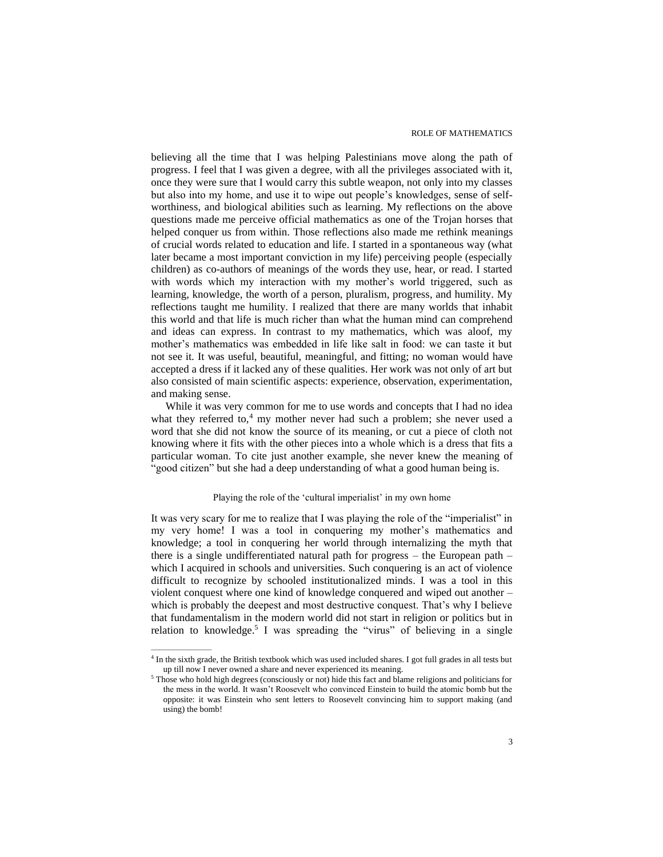believing all the time that I was helping Palestinians move along the path of progress. I feel that I was given a degree, with all the privileges associated with it, once they were sure that I would carry this subtle weapon, not only into my classes but also into my home, and use it to wipe out people's knowledges, sense of selfworthiness, and biological abilities such as learning. My reflections on the above questions made me perceive official mathematics as one of the Trojan horses that helped conquer us from within. Those reflections also made me rethink meanings of crucial words related to education and life. I started in a spontaneous way (what later became a most important conviction in my life) perceiving people (especially children) as co-authors of meanings of the words they use, hear, or read. I started with words which my interaction with my mother's world triggered, such as learning, knowledge, the worth of a person, pluralism, progress, and humility. My reflections taught me humility. I realized that there are many worlds that inhabit this world and that life is much richer than what the human mind can comprehend and ideas can express. In contrast to my mathematics, which was aloof, my mother's mathematics was embedded in life like salt in food: we can taste it but not see it. It was useful, beautiful, meaningful, and fitting; no woman would have accepted a dress if it lacked any of these qualities. Her work was not only of art but also consisted of main scientific aspects: experience, observation, experimentation, and making sense.

While it was very common for me to use words and concepts that I had no idea what they referred to, $4 \text{ mv}$  mother never had such a problem; she never used a word that she did not know the source of its meaning, or cut a piece of cloth not knowing where it fits with the other pieces into a whole which is a dress that fits a particular woman. To cite just another example, she never knew the meaning of "good citizen" but she had a deep understanding of what a good human being is.

# Playing the role of the 'cultural imperialist' in my own home

It was very scary for me to realize that I was playing the role of the "imperialist" in my very home! I was a tool in conquering my mother's mathematics and knowledge; a tool in conquering her world through internalizing the myth that there is a single undifferentiated natural path for progress – the European path – which I acquired in schools and universities. Such conquering is an act of violence difficult to recognize by schooled institutionalized minds. I was a tool in this violent conquest where one kind of knowledge conquered and wiped out another – which is probably the deepest and most destructive conquest. That's why I believe that fundamentalism in the modern world did not start in religion or politics but in relation to knowledge.<sup>5</sup> I was spreading the "virus" of believing in a single

<sup>&</sup>lt;sup>4</sup> In the sixth grade, the British textbook which was used included shares. I got full grades in all tests but up till now I never owned a share and never experienced its meaning.

<sup>5</sup> Those who hold high degrees (consciously or not) hide this fact and blame religions and politicians for the mess in the world. It wasn't Roosevelt who convinced Einstein to build the atomic bomb but the opposite: it was Einstein who sent letters to Roosevelt convincing him to support making (and using) the bomb!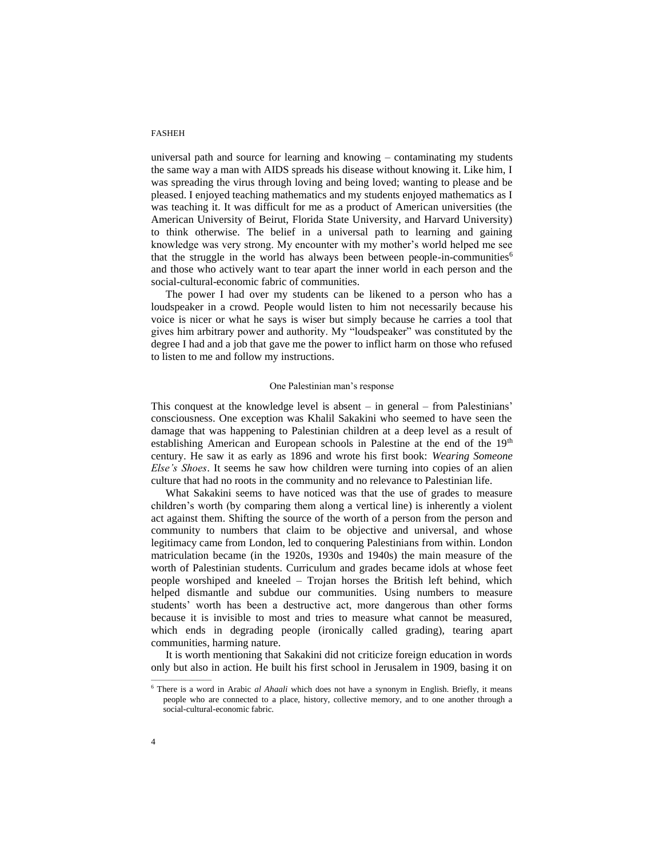universal path and source for learning and knowing – contaminating my students the same way a man with AIDS spreads his disease without knowing it. Like him, I was spreading the virus through loving and being loved; wanting to please and be pleased. I enjoyed teaching mathematics and my students enjoyed mathematics as I was teaching it. It was difficult for me as a product of American universities (the American University of Beirut, Florida State University, and Harvard University) to think otherwise. The belief in a universal path to learning and gaining knowledge was very strong. My encounter with my mother's world helped me see that the struggle in the world has always been between people-in-communities<sup>6</sup> and those who actively want to tear apart the inner world in each person and the social-cultural-economic fabric of communities.

The power I had over my students can be likened to a person who has a loudspeaker in a crowd. People would listen to him not necessarily because his voice is nicer or what he says is wiser but simply because he carries a tool that gives him arbitrary power and authority. My "loudspeaker" was constituted by the degree I had and a job that gave me the power to inflict harm on those who refused to listen to me and follow my instructions.

# One Palestinian man's response

This conquest at the knowledge level is absent – in general – from Palestinians' consciousness. One exception was Khalil Sakakini who seemed to have seen the damage that was happening to Palestinian children at a deep level as a result of establishing American and European schools in Palestine at the end of the  $19<sup>th</sup>$ century. He saw it as early as 1896 and wrote his first book: *Wearing Someone Else's Shoes*. It seems he saw how children were turning into copies of an alien culture that had no roots in the community and no relevance to Palestinian life.

What Sakakini seems to have noticed was that the use of grades to measure children's worth (by comparing them along a vertical line) is inherently a violent act against them. Shifting the source of the worth of a person from the person and community to numbers that claim to be objective and universal, and whose legitimacy came from London, led to conquering Palestinians from within. London matriculation became (in the 1920s, 1930s and 1940s) the main measure of the worth of Palestinian students. Curriculum and grades became idols at whose feet people worshiped and kneeled – Trojan horses the British left behind, which helped dismantle and subdue our communities. Using numbers to measure students' worth has been a destructive act, more dangerous than other forms because it is invisible to most and tries to measure what cannot be measured, which ends in degrading people (ironically called grading), tearing apart communities, harming nature.

It is worth mentioning that Sakakini did not criticize foreign education in words only but also in action. He built his first school in Jerusalem in 1909, basing it on

<sup>6</sup> There is a word in Arabic *al Ahaali* which does not have a synonym in English. Briefly, it means people who are connected to a place, history, collective memory, and to one another through a social-cultural-economic fabric.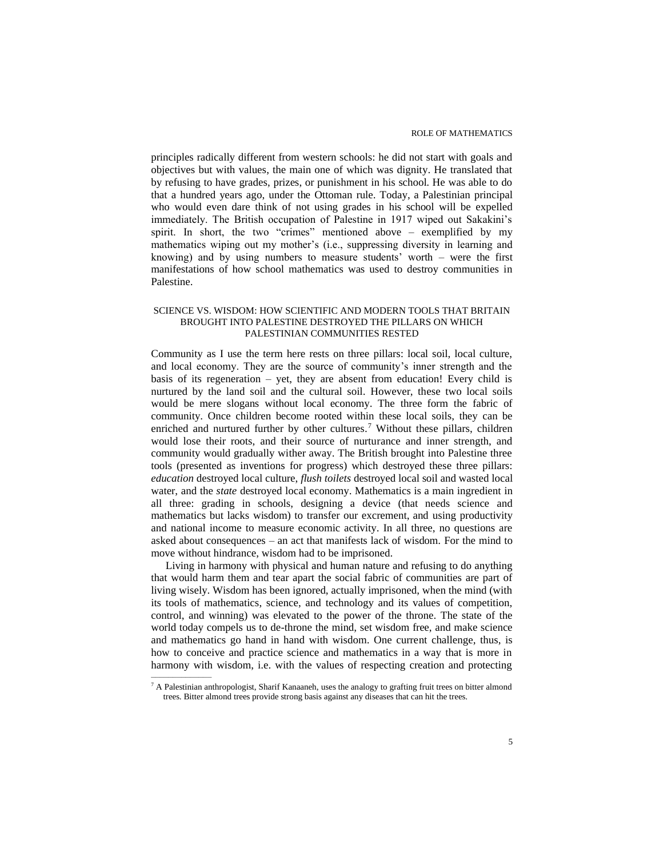principles radically different from western schools: he did not start with goals and objectives but with values, the main one of which was dignity. He translated that by refusing to have grades, prizes, or punishment in his school. He was able to do that a hundred years ago, under the Ottoman rule. Today, a Palestinian principal who would even dare think of not using grades in his school will be expelled immediately. The British occupation of Palestine in 1917 wiped out Sakakini's spirit. In short, the two "crimes" mentioned above – exemplified by my mathematics wiping out my mother's (i.e., suppressing diversity in learning and knowing) and by using numbers to measure students' worth – were the first manifestations of how school mathematics was used to destroy communities in Palestine.

# SCIENCE VS. WISDOM: HOW SCIENTIFIC AND MODERN TOOLS THAT BRITAIN BROUGHT INTO PALESTINE DESTROYED THE PILLARS ON WHICH PALESTINIAN COMMUNITIES RESTED

Community as I use the term here rests on three pillars: local soil, local culture, and local economy. They are the source of community's inner strength and the basis of its regeneration – yet, they are absent from education! Every child is nurtured by the land soil and the cultural soil. However, these two local soils would be mere slogans without local economy. The three form the fabric of community. Once children become rooted within these local soils, they can be enriched and nurtured further by other cultures.<sup>7</sup> Without these pillars, children would lose their roots, and their source of nurturance and inner strength, and community would gradually wither away. The British brought into Palestine three tools (presented as inventions for progress) which destroyed these three pillars: *education* destroyed local culture, *flush toilets* destroyed local soil and wasted local water, and the *state* destroyed local economy. Mathematics is a main ingredient in all three: grading in schools, designing a device (that needs science and mathematics but lacks wisdom) to transfer our excrement, and using productivity and national income to measure economic activity. In all three, no questions are asked about consequences – an act that manifests lack of wisdom. For the mind to move without hindrance, wisdom had to be imprisoned.

Living in harmony with physical and human nature and refusing to do anything that would harm them and tear apart the social fabric of communities are part of living wisely. Wisdom has been ignored, actually imprisoned, when the mind (with its tools of mathematics, science, and technology and its values of competition, control, and winning) was elevated to the power of the throne. The state of the world today compels us to de-throne the mind, set wisdom free, and make science and mathematics go hand in hand with wisdom. One current challenge, thus, is how to conceive and practice science and mathematics in a way that is more in harmony with wisdom, i.e. with the values of respecting creation and protecting

 $7$  A Palestinian anthropologist, Sharif Kanaaneh, uses the analogy to grafting fruit trees on bitter almond trees. Bitter almond trees provide strong basis against any diseases that can hit the trees.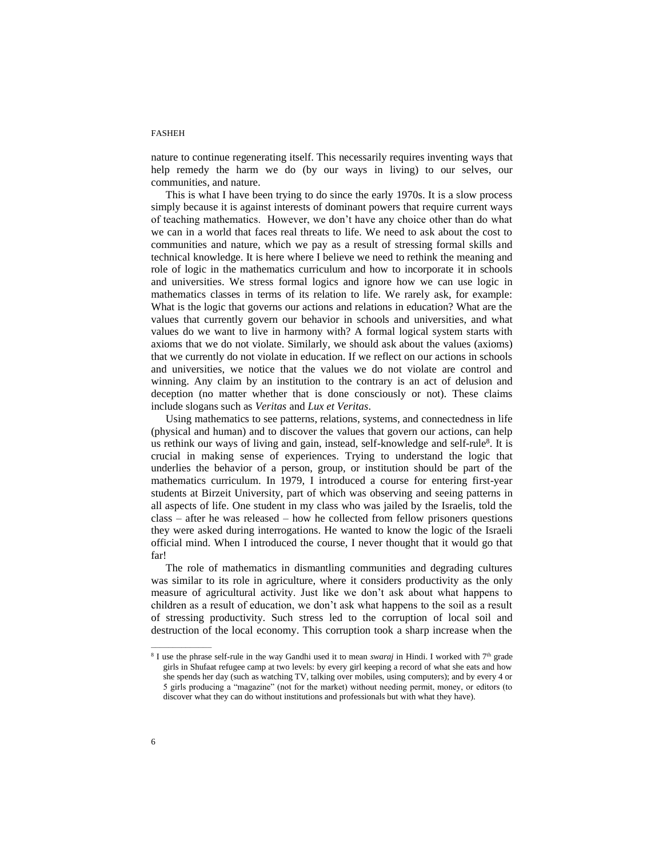nature to continue regenerating itself. This necessarily requires inventing ways that help remedy the harm we do (by our ways in living) to our selves, our communities, and nature.

This is what I have been trying to do since the early 1970s. It is a slow process simply because it is against interests of dominant powers that require current ways of teaching mathematics. However, we don't have any choice other than do what we can in a world that faces real threats to life. We need to ask about the cost to communities and nature, which we pay as a result of stressing formal skills and technical knowledge. It is here where I believe we need to rethink the meaning and role of logic in the mathematics curriculum and how to incorporate it in schools and universities. We stress formal logics and ignore how we can use logic in mathematics classes in terms of its relation to life. We rarely ask, for example: What is the logic that governs our actions and relations in education? What are the values that currently govern our behavior in schools and universities, and what values do we want to live in harmony with? A formal logical system starts with axioms that we do not violate. Similarly, we should ask about the values (axioms) that we currently do not violate in education. If we reflect on our actions in schools and universities, we notice that the values we do not violate are control and winning. Any claim by an institution to the contrary is an act of delusion and deception (no matter whether that is done consciously or not). These claims include slogans such as *Veritas* and *Lux et Veritas*.

Using mathematics to see patterns, relations, systems, and connectedness in life (physical and human) and to discover the values that govern our actions, can help us rethink our ways of living and gain, instead, self-knowledge and self-rule<sup>8</sup>. It is crucial in making sense of experiences. Trying to understand the logic that underlies the behavior of a person, group, or institution should be part of the mathematics curriculum. In 1979, I introduced a course for entering first-year students at Birzeit University, part of which was observing and seeing patterns in all aspects of life. One student in my class who was jailed by the Israelis, told the class – after he was released – how he collected from fellow prisoners questions they were asked during interrogations. He wanted to know the logic of the Israeli official mind. When I introduced the course, I never thought that it would go that far!

The role of mathematics in dismantling communities and degrading cultures was similar to its role in agriculture, where it considers productivity as the only measure of agricultural activity. Just like we don't ask about what happens to children as a result of education, we don't ask what happens to the soil as a result of stressing productivity. Such stress led to the corruption of local soil and destruction of the local economy. This corruption took a sharp increase when the

<sup>&</sup>lt;sup>8</sup> I use the phrase self-rule in the way Gandhi used it to mean *swaraj* in Hindi. I worked with 7<sup>th</sup> grade girls in Shufaat refugee camp at two levels: by every girl keeping a record of what she eats and how she spends her day (such as watching TV, talking over mobiles, using computers); and by every 4 or 5 girls producing a "magazine" (not for the market) without needing permit, money, or editors (to discover what they can do without institutions and professionals but with what they have).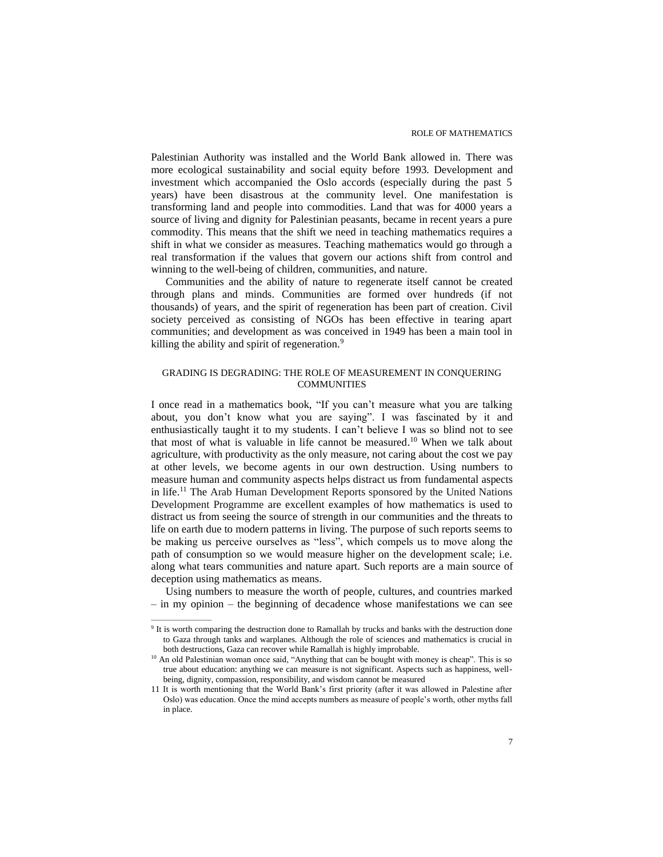Palestinian Authority was installed and the World Bank allowed in. There was more ecological sustainability and social equity before 1993. Development and investment which accompanied the Oslo accords (especially during the past 5 years) have been disastrous at the community level. One manifestation is transforming land and people into commodities. Land that was for 4000 years a source of living and dignity for Palestinian peasants, became in recent years a pure commodity. This means that the shift we need in teaching mathematics requires a shift in what we consider as measures. Teaching mathematics would go through a real transformation if the values that govern our actions shift from control and winning to the well-being of children, communities, and nature.

Communities and the ability of nature to regenerate itself cannot be created through plans and minds. Communities are formed over hundreds (if not thousands) of years, and the spirit of regeneration has been part of creation. Civil society perceived as consisting of NGOs has been effective in tearing apart communities; and development as was conceived in 1949 has been a main tool in killing the ability and spirit of regeneration.<sup>9</sup>

# GRADING IS DEGRADING: THE ROLE OF MEASUREMENT IN CONQUERING COMMUNITIES

I once read in a mathematics book, "If you can't measure what you are talking about, you don't know what you are saying". I was fascinated by it and enthusiastically taught it to my students. I can't believe I was so blind not to see that most of what is valuable in life cannot be measured. <sup>10</sup> When we talk about agriculture, with productivity as the only measure, not caring about the cost we pay at other levels, we become agents in our own destruction. Using numbers to measure human and community aspects helps distract us from fundamental aspects in life. <sup>11</sup> The Arab Human Development Reports sponsored by the United Nations Development Programme are excellent examples of how mathematics is used to distract us from seeing the source of strength in our communities and the threats to life on earth due to modern patterns in living. The purpose of such reports seems to be making us perceive ourselves as "less", which compels us to move along the path of consumption so we would measure higher on the development scale; i.e. along what tears communities and nature apart. Such reports are a main source of deception using mathematics as means.

Using numbers to measure the worth of people, cultures, and countries marked – in my opinion – the beginning of decadence whose manifestations we can see

 $-\frac{1}{2}$ 

<sup>&</sup>lt;sup>9</sup> It is worth comparing the destruction done to Ramallah by trucks and banks with the destruction done to Gaza through tanks and warplanes. Although the role of sciences and mathematics is crucial in both destructions, Gaza can recover while Ramallah is highly improbable.

<sup>&</sup>lt;sup>10</sup> An old Palestinian woman once said, "Anything that can be bought with money is cheap". This is so true about education: anything we can measure is not significant. Aspects such as happiness, wellbeing, dignity, compassion, responsibility, and wisdom cannot be measured

<sup>11</sup> It is worth mentioning that the World Bank's first priority (after it was allowed in Palestine after Oslo) was education. Once the mind accepts numbers as measure of people's worth, other myths fall in place.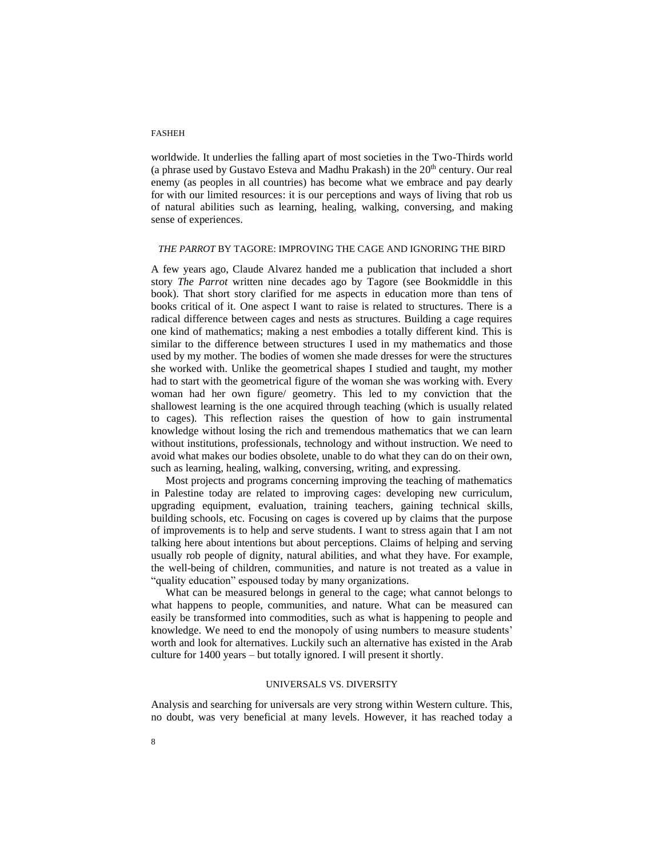worldwide. It underlies the falling apart of most societies in the Two-Thirds world (a phrase used by Gustavo Esteva and Madhu Prakash) in the  $20<sup>th</sup>$  century. Our real enemy (as peoples in all countries) has become what we embrace and pay dearly for with our limited resources: it is our perceptions and ways of living that rob us of natural abilities such as learning, healing, walking, conversing, and making sense of experiences.

# *THE PARROT* BY TAGORE: IMPROVING THE CAGE AND IGNORING THE BIRD

A few years ago, Claude Alvarez handed me a publication that included a short story *The Parrot* written nine decades ago by Tagore (see Bookmiddle in this book). That short story clarified for me aspects in education more than tens of books critical of it. One aspect I want to raise is related to structures. There is a radical difference between cages and nests as structures. Building a cage requires one kind of mathematics; making a nest embodies a totally different kind. This is similar to the difference between structures I used in my mathematics and those used by my mother. The bodies of women she made dresses for were the structures she worked with. Unlike the geometrical shapes I studied and taught, my mother had to start with the geometrical figure of the woman she was working with. Every woman had her own figure/ geometry. This led to my conviction that the shallowest learning is the one acquired through teaching (which is usually related to cages). This reflection raises the question of how to gain instrumental knowledge without losing the rich and tremendous mathematics that we can learn without institutions, professionals, technology and without instruction. We need to avoid what makes our bodies obsolete, unable to do what they can do on their own, such as learning, healing, walking, conversing, writing, and expressing.

Most projects and programs concerning improving the teaching of mathematics in Palestine today are related to improving cages: developing new curriculum, upgrading equipment, evaluation, training teachers, gaining technical skills, building schools, etc. Focusing on cages is covered up by claims that the purpose of improvements is to help and serve students. I want to stress again that I am not talking here about intentions but about perceptions. Claims of helping and serving usually rob people of dignity, natural abilities, and what they have. For example, the well-being of children, communities, and nature is not treated as a value in "quality education" espoused today by many organizations.

What can be measured belongs in general to the cage; what cannot belongs to what happens to people, communities, and nature. What can be measured can easily be transformed into commodities, such as what is happening to people and knowledge. We need to end the monopoly of using numbers to measure students' worth and look for alternatives. Luckily such an alternative has existed in the Arab culture for 1400 years – but totally ignored. I will present it shortly.

# UNIVERSALS VS. DIVERSITY

Analysis and searching for universals are very strong within Western culture. This, no doubt, was very beneficial at many levels. However, it has reached today a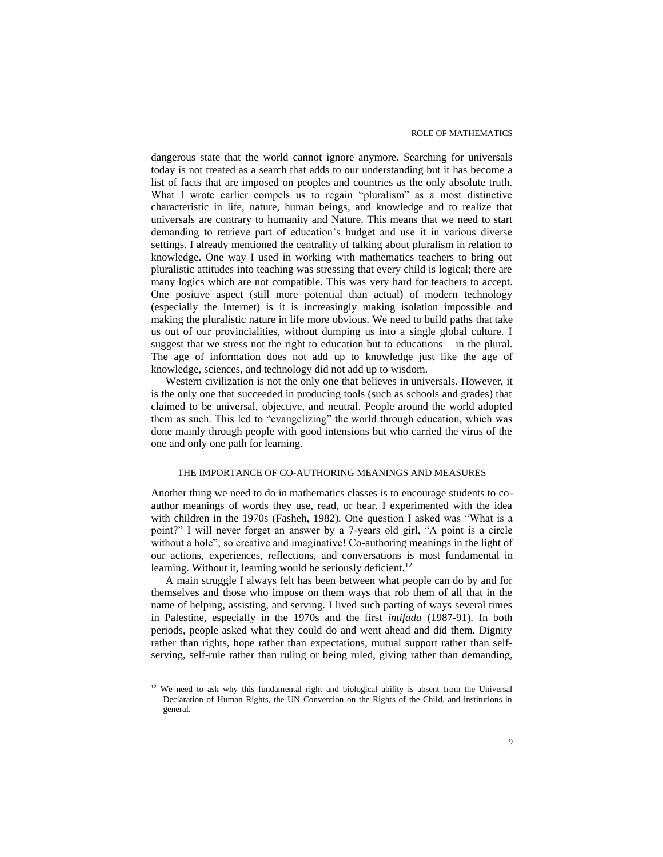dangerous state that the world cannot ignore anymore. Searching for universals today is not treated as a search that adds to our understanding but it has become a list of facts that are imposed on peoples and countries as the only absolute truth. What I wrote earlier compels us to regain "pluralism" as a most distinctive characteristic in life, nature, human beings, and knowledge and to realize that universals are contrary to humanity and Nature. This means that we need to start demanding to retrieve part of education's budget and use it in various diverse settings. I already mentioned the centrality of talking about pluralism in relation to knowledge. One way I used in working with mathematics teachers to bring out pluralistic attitudes into teaching was stressing that every child is logical; there are many logics which are not compatible. This was very hard for teachers to accept. One positive aspect (still more potential than actual) of modern technology (especially the Internet) is it is increasingly making isolation impossible and making the pluralistic nature in life more obvious. We need to build paths that take us out of our provincialities, without dumping us into a single global culture. I suggest that we stress not the right to education but to educations – in the plural. The age of information does not add up to knowledge just like the age of knowledge, sciences, and technology did not add up to wisdom.

Western civilization is not the only one that believes in universals. However, it is the only one that succeeded in producing tools (such as schools and grades) that claimed to be universal, objective, and neutral. People around the world adopted them as such. This led to "evangelizing" the world through education, which was done mainly through people with good intensions but who carried the virus of the one and only one path for learning.

#### THE IMPORTANCE OF CO-AUTHORING MEANINGS AND MEASURES

Another thing we need to do in mathematics classes is to encourage students to coauthor meanings of words they use, read, or hear. I experimented with the idea with children in the 1970s (Fasheh, 1982). One question I asked was "What is a point?" I will never forget an answer by a 7-years old girl, "A point is a circle without a hole"; so creative and imaginative! Co-authoring meanings in the light of our actions, experiences, reflections, and conversations is most fundamental in learning. Without it, learning would be seriously deficient.<sup>12</sup>

A main struggle I always felt has been between what people can do by and for themselves and those who impose on them ways that rob them of all that in the name of helping, assisting, and serving. I lived such parting of ways several times in Palestine, especially in the 1970s and the first *intifada* (1987-91). In both periods, people asked what they could do and went ahead and did them. Dignity rather than rights, hope rather than expectations, mutual support rather than selfserving, self-rule rather than ruling or being ruled, giving rather than demanding,

 $12$  We need to ask why this fundamental right and biological ability is absent from the Universal Declaration of Human Rights, the UN Convention on the Rights of the Child, and institutions in general.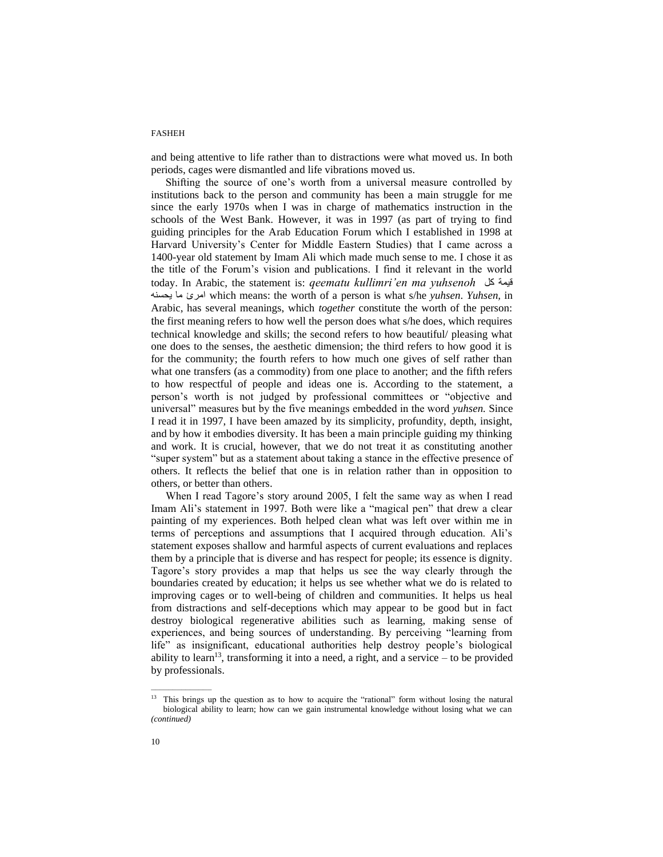and being attentive to life rather than to distractions were what moved us. In both periods, cages were dismantled and life vibrations moved us.

Shifting the source of one's worth from a universal measure controlled by institutions back to the person and community has been a main struggle for me since the early 1970s when I was in charge of mathematics instruction in the schools of the West Bank. However, it was in 1997 (as part of trying to find guiding principles for the Arab Education Forum which I established in 1998 at Harvard University's Center for Middle Eastern Studies) that I came across a 1400-year old statement by Imam Ali which made much sense to me. I chose it as the title of the Forum's vision and publications. I find it relevant in the world today. In Arabic, the statement is: *qeematu kullimri'en ma yuhsenoh* كل قيمة يحسنه ما امرئ which means: the worth of a person is what s/he *yuhsen*. *Yuhsen,* in Arabic, has several meanings, which *together* constitute the worth of the person: the first meaning refers to how well the person does what s/he does, which requires technical knowledge and skills; the second refers to how beautiful/ pleasing what one does to the senses, the aesthetic dimension; the third refers to how good it is for the community; the fourth refers to how much one gives of self rather than what one transfers (as a commodity) from one place to another; and the fifth refers to how respectful of people and ideas one is. According to the statement, a person's worth is not judged by professional committees or "objective and universal" measures but by the five meanings embedded in the word *yuhsen.* Since I read it in 1997, I have been amazed by its simplicity, profundity, depth, insight, and by how it embodies diversity. It has been a main principle guiding my thinking and work. It is crucial, however, that we do not treat it as constituting another "super system" but as a statement about taking a stance in the effective presence of others. It reflects the belief that one is in relation rather than in opposition to others, or better than others.

When I read Tagore's story around 2005, I felt the same way as when I read Imam Ali's statement in 1997. Both were like a "magical pen" that drew a clear painting of my experiences. Both helped clean what was left over within me in terms of perceptions and assumptions that I acquired through education. Ali's statement exposes shallow and harmful aspects of current evaluations and replaces them by a principle that is diverse and has respect for people; its essence is dignity. Tagore's story provides a map that helps us see the way clearly through the boundaries created by education; it helps us see whether what we do is related to improving cages or to well-being of children and communities. It helps us heal from distractions and self-deceptions which may appear to be good but in fact destroy biological regenerative abilities such as learning, making sense of experiences, and being sources of understanding. By perceiving "learning from life" as insignificant, educational authorities help destroy people's biological ability to learn<sup>13</sup>, transforming it into a need, a right, and a service – to be provided by professionals.

<sup>13</sup> This brings up the question as to how to acquire the "rational" form without losing the natural biological ability to learn; how can we gain instrumental knowledge without losing what we can *(continued)*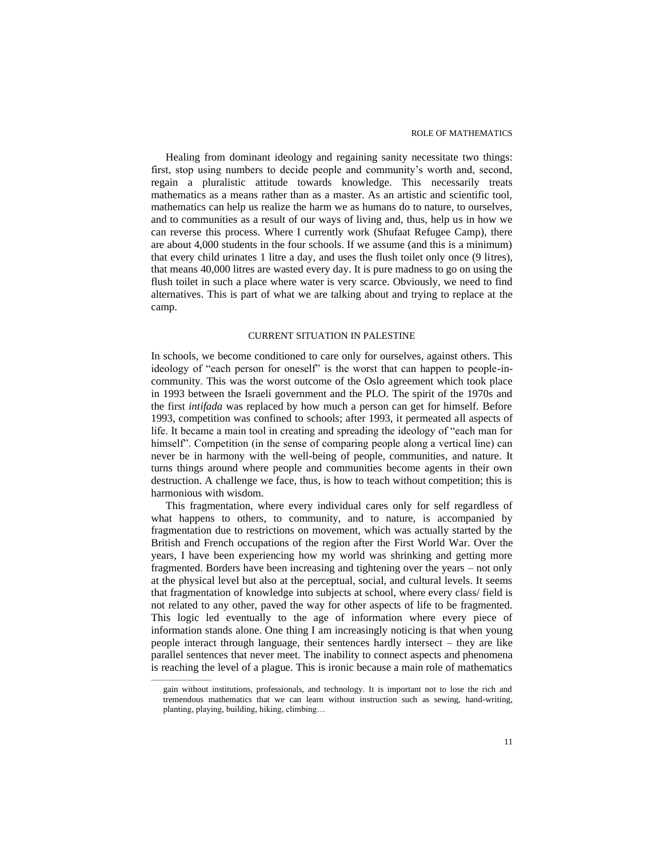Healing from dominant ideology and regaining sanity necessitate two things: first, stop using numbers to decide people and community's worth and, second, regain a pluralistic attitude towards knowledge. This necessarily treats mathematics as a means rather than as a master. As an artistic and scientific tool, mathematics can help us realize the harm we as humans do to nature, to ourselves, and to communities as a result of our ways of living and, thus, help us in how we can reverse this process. Where I currently work (Shufaat Refugee Camp), there are about 4,000 students in the four schools. If we assume (and this is a minimum) that every child urinates 1 litre a day, and uses the flush toilet only once (9 litres), that means 40,000 litres are wasted every day. It is pure madness to go on using the flush toilet in such a place where water is very scarce. Obviously, we need to find alternatives. This is part of what we are talking about and trying to replace at the camp.

# CURRENT SITUATION IN PALESTINE

In schools, we become conditioned to care only for ourselves, against others. This ideology of "each person for oneself" is the worst that can happen to people-incommunity. This was the worst outcome of the Oslo agreement which took place in 1993 between the Israeli government and the PLO. The spirit of the 1970s and the first *intifada* was replaced by how much a person can get for himself. Before 1993, competition was confined to schools; after 1993, it permeated all aspects of life. It became a main tool in creating and spreading the ideology of "each man for himself". Competition (in the sense of comparing people along a vertical line) can never be in harmony with the well-being of people, communities, and nature. It turns things around where people and communities become agents in their own destruction. A challenge we face, thus, is how to teach without competition; this is harmonious with wisdom.

This fragmentation, where every individual cares only for self regardless of what happens to others, to community, and to nature, is accompanied by fragmentation due to restrictions on movement, which was actually started by the British and French occupations of the region after the First World War. Over the years, I have been experiencing how my world was shrinking and getting more fragmented. Borders have been increasing and tightening over the years – not only at the physical level but also at the perceptual, social, and cultural levels. It seems that fragmentation of knowledge into subjects at school, where every class/ field is not related to any other, paved the way for other aspects of life to be fragmented. This logic led eventually to the age of information where every piece of information stands alone. One thing I am increasingly noticing is that when young people interact through language, their sentences hardly intersect – they are like parallel sentences that never meet. The inability to connect aspects and phenomena is reaching the level of a plague. This is ironic because a main role of mathematics

gain without institutions, professionals, and technology. It is important not to lose the rich and tremendous mathematics that we can learn without instruction such as sewing, hand-writing, planting, playing, building, hiking, climbing…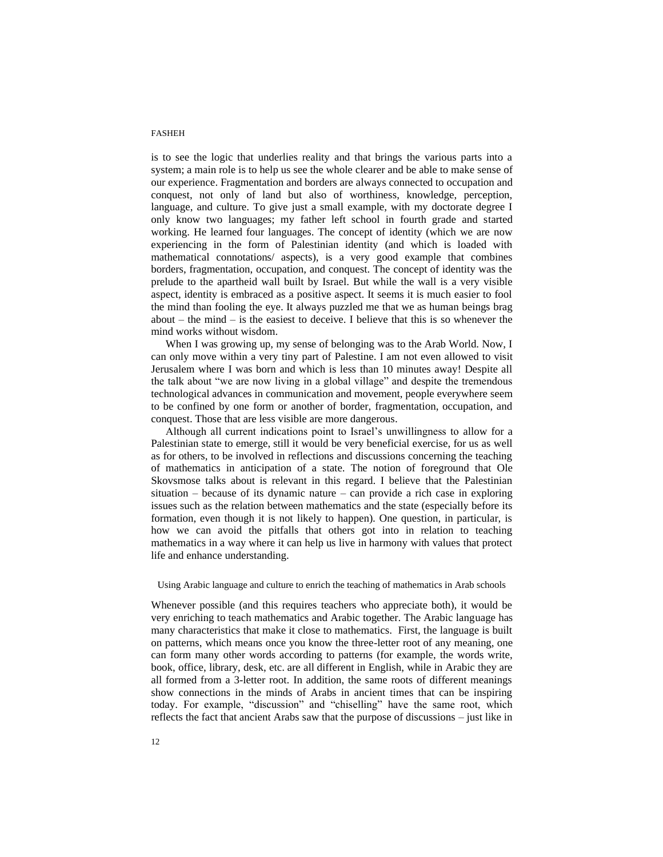is to see the logic that underlies reality and that brings the various parts into a system; a main role is to help us see the whole clearer and be able to make sense of our experience. Fragmentation and borders are always connected to occupation and conquest, not only of land but also of worthiness, knowledge, perception, language, and culture. To give just a small example, with my doctorate degree I only know two languages; my father left school in fourth grade and started working. He learned four languages. The concept of identity (which we are now experiencing in the form of Palestinian identity (and which is loaded with mathematical connotations/ aspects), is a very good example that combines borders, fragmentation, occupation, and conquest. The concept of identity was the prelude to the apartheid wall built by Israel. But while the wall is a very visible aspect, identity is embraced as a positive aspect. It seems it is much easier to fool the mind than fooling the eye. It always puzzled me that we as human beings brag about – the mind – is the easiest to deceive. I believe that this is so whenever the mind works without wisdom.

When I was growing up, my sense of belonging was to the Arab World. Now, I can only move within a very tiny part of Palestine. I am not even allowed to visit Jerusalem where I was born and which is less than 10 minutes away! Despite all the talk about "we are now living in a global village" and despite the tremendous technological advances in communication and movement, people everywhere seem to be confined by one form or another of border, fragmentation, occupation, and conquest. Those that are less visible are more dangerous.

Although all current indications point to Israel's unwillingness to allow for a Palestinian state to emerge, still it would be very beneficial exercise, for us as well as for others, to be involved in reflections and discussions concerning the teaching of mathematics in anticipation of a state. The notion of foreground that Ole Skovsmose talks about is relevant in this regard. I believe that the Palestinian situation – because of its dynamic nature – can provide a rich case in exploring issues such as the relation between mathematics and the state (especially before its formation, even though it is not likely to happen). One question, in particular, is how we can avoid the pitfalls that others got into in relation to teaching mathematics in a way where it can help us live in harmony with values that protect life and enhance understanding.

### Using Arabic language and culture to enrich the teaching of mathematics in Arab schools

Whenever possible (and this requires teachers who appreciate both), it would be very enriching to teach mathematics and Arabic together. The Arabic language has many characteristics that make it close to mathematics. First, the language is built on patterns, which means once you know the three-letter root of any meaning, one can form many other words according to patterns (for example, the words write, book, office, library, desk, etc. are all different in English, while in Arabic they are all formed from a 3-letter root. In addition, the same roots of different meanings show connections in the minds of Arabs in ancient times that can be inspiring today. For example, "discussion" and "chiselling" have the same root, which reflects the fact that ancient Arabs saw that the purpose of discussions – just like in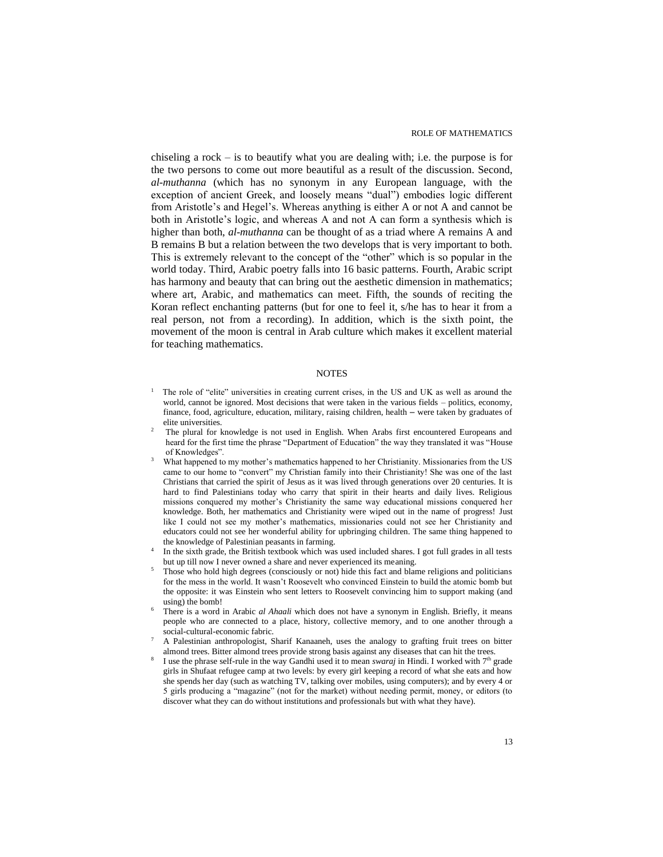chiseling a rock – is to beautify what you are dealing with; i.e. the purpose is for the two persons to come out more beautiful as a result of the discussion. Second, *al-muthanna* (which has no synonym in any European language, with the exception of ancient Greek, and loosely means "dual") embodies logic different from Aristotle's and Hegel's. Whereas anything is either A or not A and cannot be both in Aristotle's logic, and whereas A and not A can form a synthesis which is higher than both, *al-muthanna* can be thought of as a triad where A remains A and B remains B but a relation between the two develops that is very important to both. This is extremely relevant to the concept of the "other" which is so popular in the world today. Third, Arabic poetry falls into 16 basic patterns. Fourth, Arabic script has harmony and beauty that can bring out the aesthetic dimension in mathematics; where art, Arabic, and mathematics can meet. Fifth, the sounds of reciting the Koran reflect enchanting patterns (but for one to feel it, s/he has to hear it from a real person, not from a recording). In addition, which is the sixth point, the movement of the moon is central in Arab culture which makes it excellent material for teaching mathematics.

### **NOTES**

- 1 The role of "elite" universities in creating current crises, in the US and UK as well as around the world, cannot be ignored. Most decisions that were taken in the various fields – politics, economy, finance, food, agriculture, education, military, raising children, health – were taken by graduates of elite universities.
- <sup>2</sup> The plural for knowledge is not used in English. When Arabs first encountered Europeans and heard for the first time the phrase "Department of Education" the way they translated it was "House of Knowledges".
- <sup>3</sup> What happened to my mother's mathematics happened to her Christianity. Missionaries from the US came to our home to "convert" my Christian family into their Christianity! She was one of the last Christians that carried the spirit of Jesus as it was lived through generations over 20 centuries. It is hard to find Palestinians today who carry that spirit in their hearts and daily lives. Religious missions conquered my mother's Christianity the same way educational missions conquered her knowledge. Both, her mathematics and Christianity were wiped out in the name of progress! Just like I could not see my mother's mathematics, missionaries could not see her Christianity and educators could not see her wonderful ability for upbringing children. The same thing happened to the knowledge of Palestinian peasants in farming.
- 4 In the sixth grade, the British textbook which was used included shares. I got full grades in all tests but up till now I never owned a share and never experienced its meaning.
- Those who hold high degrees (consciously or not) hide this fact and blame religions and politicians for the mess in the world. It wasn't Roosevelt who convinced Einstein to build the atomic bomb but the opposite: it was Einstein who sent letters to Roosevelt convincing him to support making (and using) the bomb!
- <sup>6</sup> There is a word in Arabic *al Ahaali* which does not have a synonym in English. Briefly, it means people who are connected to a place, history, collective memory, and to one another through a social-cultural-economic fabric.
- <sup>7</sup> A Palestinian anthropologist, Sharif Kanaaneh, uses the analogy to grafting fruit trees on bitter almond trees. Bitter almond trees provide strong basis against any diseases that can hit the trees.
- 8 I use the phrase self-rule in the way Gandhi used it to mean *swaraj* in Hindi. I worked with 7 th grade girls in Shufaat refugee camp at two levels: by every girl keeping a record of what she eats and how she spends her day (such as watching TV, talking over mobiles, using computers); and by every 4 or 5 girls producing a "magazine" (not for the market) without needing permit, money, or editors (to discover what they can do without institutions and professionals but with what they have).